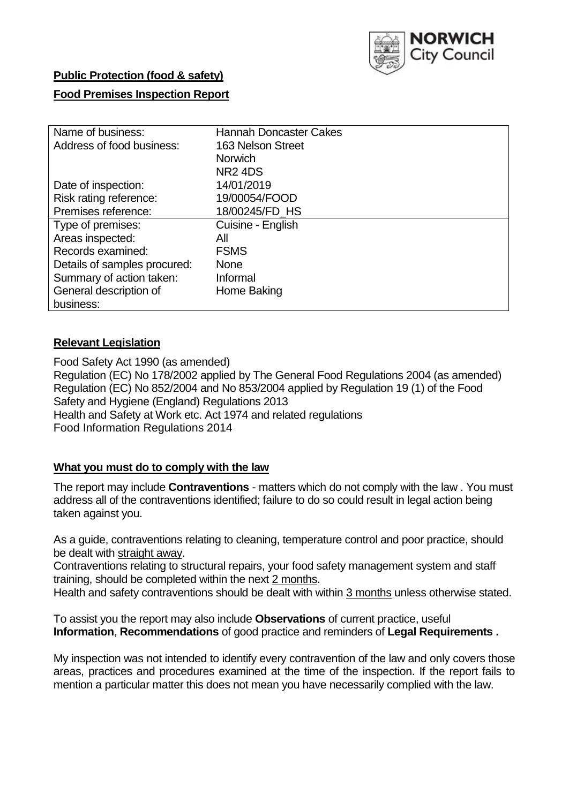

# **Public Protection (food & safety)**

## **Food Premises Inspection Report**

| Name of business:            | <b>Hannah Doncaster Cakes</b> |
|------------------------------|-------------------------------|
|                              |                               |
| Address of food business:    | 163 Nelson Street             |
|                              | <b>Norwich</b>                |
|                              | NR <sub>2</sub> 4DS           |
| Date of inspection:          | 14/01/2019                    |
| Risk rating reference:       | 19/00054/FOOD                 |
| Premises reference:          | 18/00245/FD HS                |
| Type of premises:            | Cuisine - English             |
| Areas inspected:             | All                           |
| Records examined:            | <b>FSMS</b>                   |
| Details of samples procured: | <b>None</b>                   |
| Summary of action taken:     | Informal                      |
| General description of       | Home Baking                   |
| business:                    |                               |

## **Relevant Legislation**

Food Safety Act 1990 (as amended) Regulation (EC) No 178/2002 applied by The General Food Regulations 2004 (as amended) Regulation (EC) No 852/2004 and No 853/2004 applied by Regulation 19 (1) of the Food Safety and Hygiene (England) Regulations 2013 Health and Safety at Work etc. Act 1974 and related regulations Food Information Regulations 2014

## **What you must do to comply with the law**

The report may include **Contraventions** - matters which do not comply with the law . You must address all of the contraventions identified; failure to do so could result in legal action being taken against you.

As a guide, contraventions relating to cleaning, temperature control and poor practice, should be dealt with straight away.

Contraventions relating to structural repairs, your food safety management system and staff training, should be completed within the next 2 months.

Health and safety contraventions should be dealt with within 3 months unless otherwise stated.

To assist you the report may also include **Observations** of current practice, useful **Information**, **Recommendations** of good practice and reminders of **Legal Requirements .**

My inspection was not intended to identify every contravention of the law and only covers those areas, practices and procedures examined at the time of the inspection. If the report fails to mention a particular matter this does not mean you have necessarily complied with the law.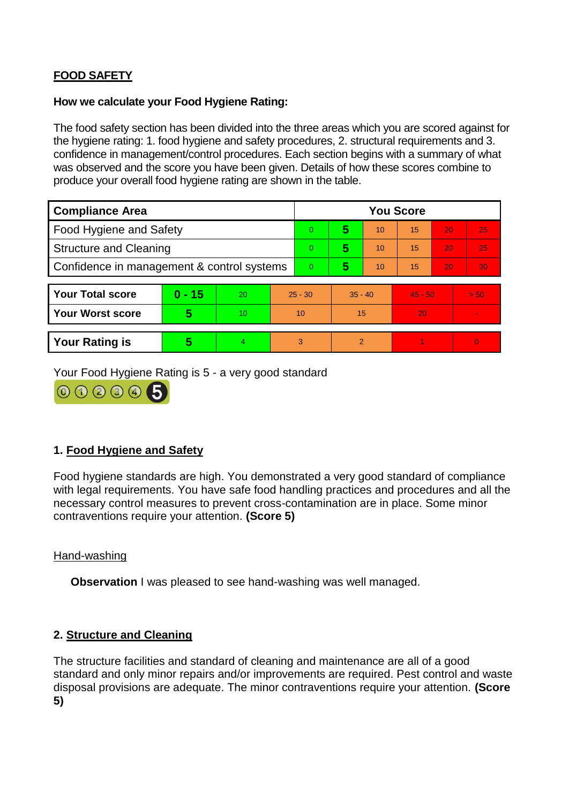# **FOOD SAFETY**

#### **How we calculate your Food Hygiene Rating:**

The food safety section has been divided into the three areas which you are scored against for the hygiene rating: 1. food hygiene and safety procedures, 2. structural requirements and 3. confidence in management/control procedures. Each section begins with a summary of what was observed and the score you have been given. Details of how these scores combine to produce your overall food hygiene rating are shown in the table.

| <b>Compliance Area</b>                     |          |    |                | <b>You Score</b> |                |    |           |    |                |  |  |
|--------------------------------------------|----------|----|----------------|------------------|----------------|----|-----------|----|----------------|--|--|
| Food Hygiene and Safety                    |          |    |                | $\Omega$         | 5              | 10 | 15        | 20 | 25             |  |  |
| <b>Structure and Cleaning</b>              |          |    | $\overline{0}$ | 5                | 10             | 15 | 20        | 25 |                |  |  |
| Confidence in management & control systems |          |    | $\Omega$       | 5                | 10             | 15 | 20        | 30 |                |  |  |
|                                            |          |    |                |                  |                |    |           |    |                |  |  |
| <b>Your Total score</b>                    | $0 - 15$ | 20 | $25 - 30$      |                  | $35 - 40$      |    | $45 - 50$ |    | > 50           |  |  |
| <b>Your Worst score</b>                    | 5        | 10 | 10             |                  | 15             |    | 20        |    | $\blacksquare$ |  |  |
|                                            |          |    |                |                  |                |    |           |    |                |  |  |
| <b>Your Rating is</b>                      | 5        | 4  | 3              |                  | $\overline{2}$ |    |           |    | $\Omega$       |  |  |

Your Food Hygiene Rating is 5 - a very good standard



# **1. Food Hygiene and Safety**

Food hygiene standards are high. You demonstrated a very good standard of compliance with legal requirements. You have safe food handling practices and procedures and all the necessary control measures to prevent cross-contamination are in place. Some minor contraventions require your attention. **(Score 5)**

## Hand-washing

**Observation** I was pleased to see hand-washing was well managed.

## **2. Structure and Cleaning**

The structure facilities and standard of cleaning and maintenance are all of a good standard and only minor repairs and/or improvements are required. Pest control and waste disposal provisions are adequate. The minor contraventions require your attention. **(Score 5)**